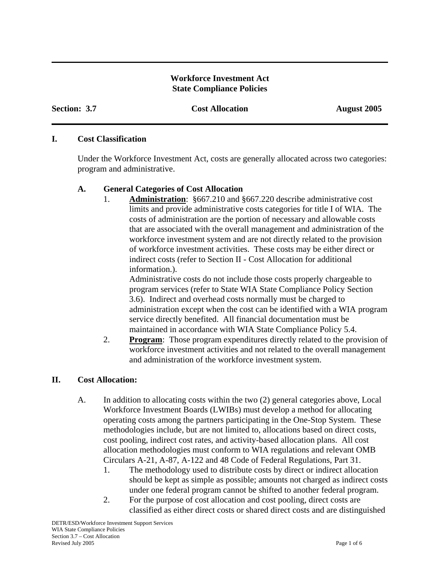### **Workforce Investment Act State Compliance Policies**

**Section: 3.7 Cost Allocation August 2005** 

#### **I. Cost Classification**

Under the Workforce Investment Act, costs are generally allocated across two categories: program and administrative.

### **A. General Categories of Cost Allocation**

 1. **Administration**: §667.210 and §667.220 describe administrative cost limits and provide administrative costs categories for title I of WIA. The costs of administration are the portion of necessary and allowable costs that are associated with the overall management and administration of the workforce investment system and are not directly related to the provision of workforce investment activities. These costs may be either direct or indirect costs (refer to Section II - Cost Allocation for additional information.).

Administrative costs do not include those costs properly chargeable to program services (refer to State WIA State Compliance Policy Section 3.6). Indirect and overhead costs normally must be charged to administration except when the cost can be identified with a WIA program service directly benefited. All financial documentation must be maintained in accordance with WIA State Compliance Policy 5.4.

 2. **Program**: Those program expenditures directly related to the provision of workforce investment activities and not related to the overall management and administration of the workforce investment system.

## **II. Cost Allocation:**

- A. In addition to allocating costs within the two (2) general categories above, Local Workforce Investment Boards (LWIBs) must develop a method for allocating operating costs among the partners participating in the One-Stop System. These methodologies include, but are not limited to, allocations based on direct costs, cost pooling, indirect cost rates, and activity-based allocation plans. All cost allocation methodologies must conform to WIA regulations and relevant OMB Circulars A-21, A-87, A-122 and 48 Code of Federal Regulations, Part 31.
	- 1. The methodology used to distribute costs by direct or indirect allocation should be kept as simple as possible; amounts not charged as indirect costs under one federal program cannot be shifted to another federal program.
	- 2. For the purpose of cost allocation and cost pooling, direct costs are classified as either direct costs or shared direct costs and are distinguished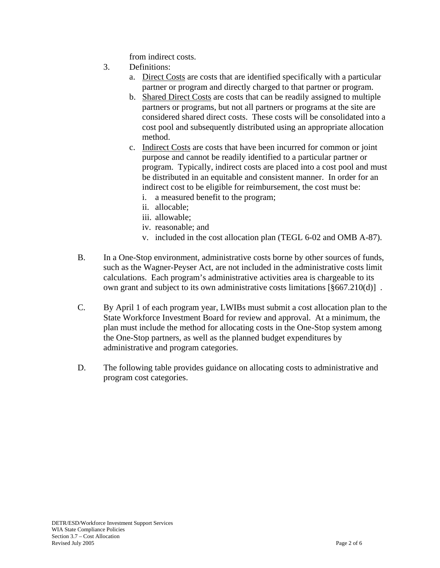from indirect costs.

- 3. Definitions:
	- a. Direct Costs are costs that are identified specifically with a particular partner or program and directly charged to that partner or program.
	- b. Shared Direct Costs are costs that can be readily assigned to multiple partners or programs, but not all partners or programs at the site are considered shared direct costs. These costs will be consolidated into a cost pool and subsequently distributed using an appropriate allocation method.
	- c. Indirect Costs are costs that have been incurred for common or joint purpose and cannot be readily identified to a particular partner or program. Typically, indirect costs are placed into a cost pool and must be distributed in an equitable and consistent manner. In order for an indirect cost to be eligible for reimbursement, the cost must be:
		- i. a measured benefit to the program;
		- ii. allocable;
		- iii. allowable;
		- iv. reasonable; and
		- v. included in the cost allocation plan (TEGL 6-02 and OMB A-87).
- B. In a One-Stop environment, administrative costs borne by other sources of funds, such as the Wagner-Peyser Act, are not included in the administrative costs limit calculations. Each program's administrative activities area is chargeable to its own grant and subject to its own administrative costs limitations [§667.210(d)] .
- C. By April 1 of each program year, LWIBs must submit a cost allocation plan to the State Workforce Investment Board for review and approval. At a minimum, the plan must include the method for allocating costs in the One-Stop system among the One-Stop partners, as well as the planned budget expenditures by administrative and program categories.
- D. The following table provides guidance on allocating costs to administrative and program cost categories.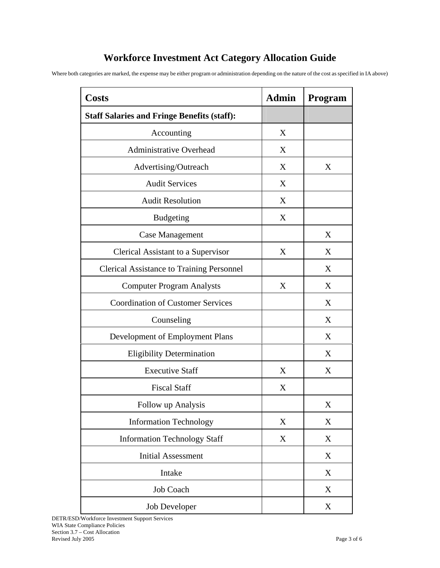# **Workforce Investment Act Category Allocation Guide**

Where both categories are marked, the expense may be either program or administration depending on the nature of the cost as specified in IA above)

| <b>Costs</b>                                       | <b>Admin</b> | <b>Program</b> |
|----------------------------------------------------|--------------|----------------|
| <b>Staff Salaries and Fringe Benefits (staff):</b> |              |                |
| Accounting                                         | X            |                |
| <b>Administrative Overhead</b>                     | X            |                |
| Advertising/Outreach                               | X            | X              |
| <b>Audit Services</b>                              | X            |                |
| <b>Audit Resolution</b>                            | X            |                |
| <b>Budgeting</b>                                   | X            |                |
| <b>Case Management</b>                             |              | X              |
| Clerical Assistant to a Supervisor                 | X            | X              |
| <b>Clerical Assistance to Training Personnel</b>   |              | X              |
| <b>Computer Program Analysts</b>                   | X            | X              |
| <b>Coordination of Customer Services</b>           |              | X              |
| Counseling                                         |              | X              |
| Development of Employment Plans                    |              | X              |
| <b>Eligibility Determination</b>                   |              | X              |
| <b>Executive Staff</b>                             | X            | X              |
| <b>Fiscal Staff</b>                                | X            |                |
| Follow up Analysis                                 |              | X              |
| <b>Information Technology</b>                      | X            | X              |
| <b>Information Technology Staff</b>                | X            | X              |
| <b>Initial Assessment</b>                          |              | X              |
| Intake                                             |              | X              |
| Job Coach                                          |              | X              |
| Job Developer                                      |              | X              |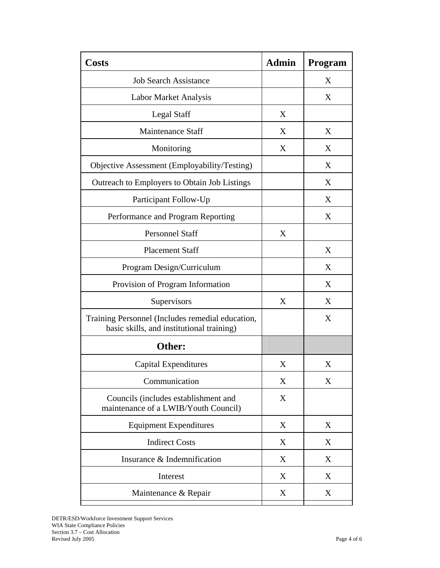| <b>Costs</b>                                                                                  | <b>Admin</b> | <b>Program</b> |
|-----------------------------------------------------------------------------------------------|--------------|----------------|
| <b>Job Search Assistance</b>                                                                  |              | X              |
| Labor Market Analysis                                                                         |              | X              |
| <b>Legal Staff</b>                                                                            | X            |                |
| <b>Maintenance Staff</b>                                                                      | X            | X              |
| Monitoring                                                                                    | X            | X              |
| Objective Assessment (Employability/Testing)                                                  |              | X              |
| Outreach to Employers to Obtain Job Listings                                                  |              | X              |
| Participant Follow-Up                                                                         |              | X              |
| Performance and Program Reporting                                                             |              | X              |
| <b>Personnel Staff</b>                                                                        | X            |                |
| <b>Placement Staff</b>                                                                        |              | X              |
| Program Design/Curriculum                                                                     |              | X              |
| Provision of Program Information                                                              |              | X              |
| Supervisors                                                                                   | X            | X              |
| Training Personnel (Includes remedial education,<br>basic skills, and institutional training) |              | X              |
| Other:                                                                                        |              |                |
| Capital Expenditures                                                                          | X            | X              |
| Communication                                                                                 | X            | X              |
| Councils (includes establishment and<br>maintenance of a LWIB/Youth Council)                  | X            |                |
| <b>Equipment Expenditures</b>                                                                 | X            | X              |
| <b>Indirect Costs</b>                                                                         | X            | X              |
| Insurance & Indemnification                                                                   | X            | X              |
| Interest                                                                                      | X            | X              |
| Maintenance & Repair                                                                          | X            | X              |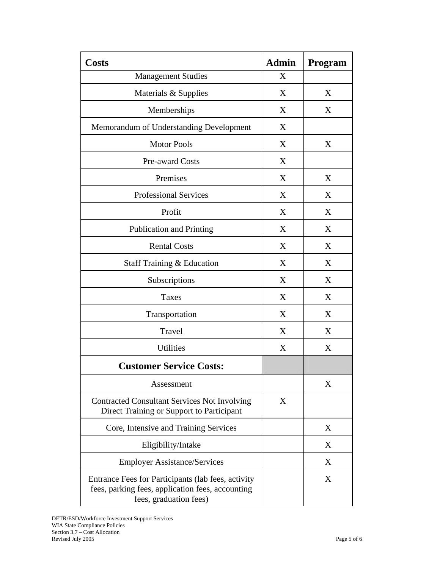| <b>Costs</b>                                                                                                                     | <b>Admin</b> | <b>Program</b> |
|----------------------------------------------------------------------------------------------------------------------------------|--------------|----------------|
| <b>Management Studies</b>                                                                                                        | X            |                |
| Materials & Supplies                                                                                                             | X            | X              |
| Memberships                                                                                                                      | X            | X              |
| Memorandum of Understanding Development                                                                                          | X            |                |
| <b>Motor Pools</b>                                                                                                               | X            | X              |
| Pre-award Costs                                                                                                                  | X            |                |
| Premises                                                                                                                         | X            | X              |
| <b>Professional Services</b>                                                                                                     | X            | X              |
| Profit                                                                                                                           | X            | X              |
| <b>Publication and Printing</b>                                                                                                  | X            | X              |
| <b>Rental Costs</b>                                                                                                              | X            | X              |
| Staff Training & Education                                                                                                       | X            | X              |
| Subscriptions                                                                                                                    | X            | X              |
| <b>Taxes</b>                                                                                                                     | X            | X              |
| Transportation                                                                                                                   | X            | X              |
| Travel                                                                                                                           | X            | X              |
| <b>Utilities</b>                                                                                                                 | X            | X              |
| <b>Customer Service Costs:</b>                                                                                                   |              |                |
| Assessment                                                                                                                       |              | X              |
| <b>Contracted Consultant Services Not Involving</b><br>Direct Training or Support to Participant                                 | X            |                |
| Core, Intensive and Training Services                                                                                            |              | X              |
| Eligibility/Intake                                                                                                               |              | X              |
| <b>Employer Assistance/Services</b>                                                                                              |              | X              |
| Entrance Fees for Participants (lab fees, activity<br>fees, parking fees, application fees, accounting<br>fees, graduation fees) |              | X              |